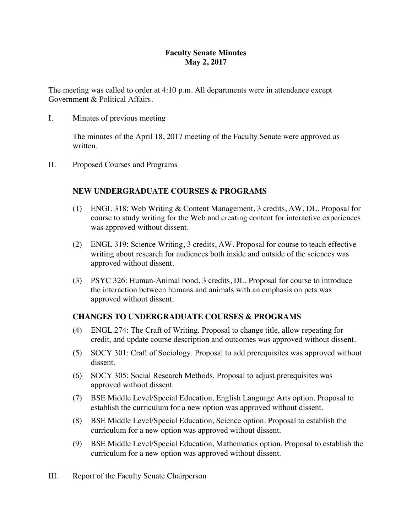## **Faculty Senate Minutes May 2, 2017**

The meeting was called to order at 4:10 p.m. All departments were in attendance except Government & Political Affairs.

I. Minutes of previous meeting

The minutes of the April 18, 2017 meeting of the Faculty Senate were approved as written.

II. Proposed Courses and Programs

## **NEW UNDERGRADUATE COURSES & PROGRAMS**

- (1) ENGL 318: Web Writing & Content Management, 3 credits, AW, DL. Proposal for course to study writing for the Web and creating content for interactive experiences was approved without dissent.
- (2) ENGL 319: Science Writing, 3 credits, AW. Proposal for course to teach effective writing about research for audiences both inside and outside of the sciences was approved without dissent.
- (3) PSYC 326: Human-Animal bond, 3 credits, DL. Proposal for course to introduce the interaction between humans and animals with an emphasis on pets was approved without dissent.

# **CHANGES TO UNDERGRADUATE COURSES & PROGRAMS**

- (4) ENGL 274: The Craft of Writing. Proposal to change title, allow repeating for credit, and update course description and outcomes was approved without dissent.
- (5) SOCY 301: Craft of Sociology. Proposal to add prerequisites was approved without dissent.
- (6) SOCY 305: Social Research Methods. Proposal to adjust prerequisites was approved without dissent.
- (7) BSE Middle Level/Special Education, English Language Arts option. Proposal to establish the curriculum for a new option was approved without dissent.
- (8) BSE Middle Level/Special Education, Science option. Proposal to establish the curriculum for a new option was approved without dissent.
- (9) BSE Middle Level/Special Education, Mathematics option. Proposal to establish the curriculum for a new option was approved without dissent.
- III. Report of the Faculty Senate Chairperson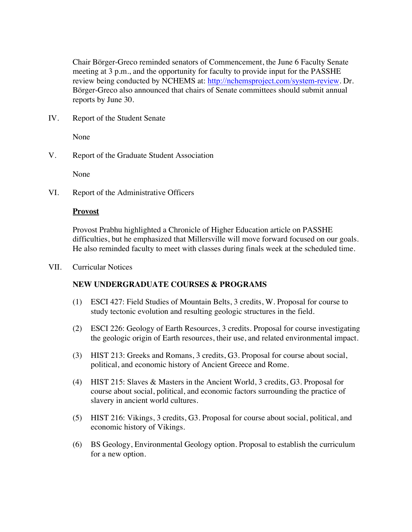Chair Börger-Greco reminded senators of Commencement, the June 6 Faculty Senate meeting at 3 p.m., and the opportunity for faculty to provide input for the PASSHE review being conducted by NCHEMS at: http://nchemsproject.com/system-review. Dr. Börger-Greco also announced that chairs of Senate committees should submit annual reports by June 30.

IV. Report of the Student Senate

None

V. Report of the Graduate Student Association

None

VI. Report of the Administrative Officers

#### **Provost**

Provost Prabhu highlighted a Chronicle of Higher Education article on PASSHE difficulties, but he emphasized that Millersville will move forward focused on our goals. He also reminded faculty to meet with classes during finals week at the scheduled time.

VII. Curricular Notices

## **NEW UNDERGRADUATE COURSES & PROGRAMS**

- (1) ESCI 427: Field Studies of Mountain Belts, 3 credits, W. Proposal for course to study tectonic evolution and resulting geologic structures in the field.
- (2) ESCI 226: Geology of Earth Resources, 3 credits. Proposal for course investigating the geologic origin of Earth resources, their use, and related environmental impact.
- (3) HIST 213: Greeks and Romans, 3 credits, G3. Proposal for course about social, political, and economic history of Ancient Greece and Rome.
- (4) HIST 215: Slaves & Masters in the Ancient World, 3 credits, G3. Proposal for course about social, political, and economic factors surrounding the practice of slavery in ancient world cultures.
- (5) HIST 216: Vikings, 3 credits, G3. Proposal for course about social, political, and economic history of Vikings.
- (6) BS Geology, Environmental Geology option. Proposal to establish the curriculum for a new option.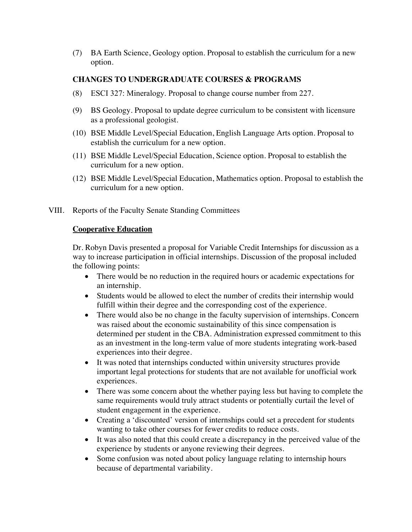(7) BA Earth Science, Geology option. Proposal to establish the curriculum for a new option.

## **CHANGES TO UNDERGRADUATE COURSES & PROGRAMS**

- (8) ESCI 327: Mineralogy. Proposal to change course number from 227.
- (9) BS Geology. Proposal to update degree curriculum to be consistent with licensure as a professional geologist.
- (10) BSE Middle Level/Special Education, English Language Arts option. Proposal to establish the curriculum for a new option.
- (11) BSE Middle Level/Special Education, Science option. Proposal to establish the curriculum for a new option.
- (12) BSE Middle Level/Special Education, Mathematics option. Proposal to establish the curriculum for a new option.
- VIII. Reports of the Faculty Senate Standing Committees

#### **Cooperative Education**

Dr. Robyn Davis presented a proposal for Variable Credit Internships for discussion as a way to increase participation in official internships. Discussion of the proposal included the following points:

- There would be no reduction in the required hours or academic expectations for an internship.
- Students would be allowed to elect the number of credits their internship would fulfill within their degree and the corresponding cost of the experience.
- There would also be no change in the faculty supervision of internships. Concern was raised about the economic sustainability of this since compensation is determined per student in the CBA. Administration expressed commitment to this as an investment in the long-term value of more students integrating work-based experiences into their degree.
- It was noted that internships conducted within university structures provide important legal protections for students that are not available for unofficial work experiences.
- There was some concern about the whether paying less but having to complete the same requirements would truly attract students or potentially curtail the level of student engagement in the experience.
- Creating a 'discounted' version of internships could set a precedent for students wanting to take other courses for fewer credits to reduce costs.
- It was also noted that this could create a discrepancy in the perceived value of the experience by students or anyone reviewing their degrees.
- Some confusion was noted about policy language relating to internship hours because of departmental variability.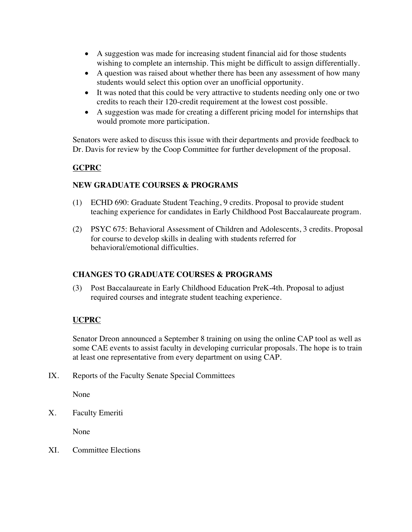- A suggestion was made for increasing student financial aid for those students wishing to complete an internship. This might be difficult to assign differentially.
- A question was raised about whether there has been any assessment of how many students would select this option over an unofficial opportunity.
- It was noted that this could be very attractive to students needing only one or two credits to reach their 120-credit requirement at the lowest cost possible.
- A suggestion was made for creating a different pricing model for internships that would promote more participation.

Senators were asked to discuss this issue with their departments and provide feedback to Dr. Davis for review by the Coop Committee for further development of the proposal.

## **GCPRC**

## **NEW GRADUATE COURSES & PROGRAMS**

- (1) ECHD 690: Graduate Student Teaching, 9 credits. Proposal to provide student teaching experience for candidates in Early Childhood Post Baccalaureate program.
- (2) PSYC 675: Behavioral Assessment of Children and Adolescents, 3 credits. Proposal for course to develop skills in dealing with students referred for behavioral/emotional difficulties.

## **CHANGES TO GRADUATE COURSES & PROGRAMS**

(3) Post Baccalaureate in Early Childhood Education PreK-4th. Proposal to adjust required courses and integrate student teaching experience.

# **UCPRC**

Senator Dreon announced a September 8 training on using the online CAP tool as well as some CAE events to assist faculty in developing curricular proposals. The hope is to train at least one representative from every department on using CAP.

IX. Reports of the Faculty Senate Special Committees

None

X. Faculty Emeriti

None

XI. Committee Elections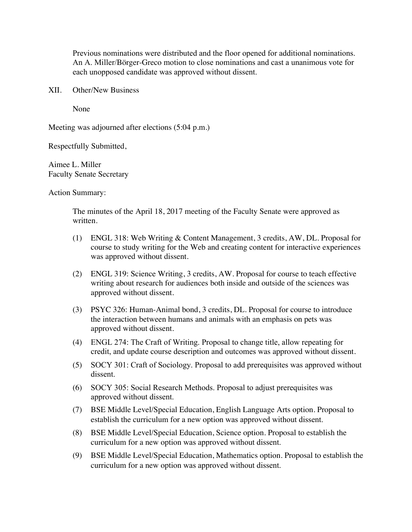Previous nominations were distributed and the floor opened for additional nominations. An A. Miller/Börger-Greco motion to close nominations and cast a unanimous vote for each unopposed candidate was approved without dissent.

XII. Other/New Business

None

Meeting was adjourned after elections (5:04 p.m.)

Respectfully Submitted,

Aimee L. Miller Faculty Senate Secretary

Action Summary:

The minutes of the April 18, 2017 meeting of the Faculty Senate were approved as written.

- (1) ENGL 318: Web Writing & Content Management, 3 credits, AW, DL. Proposal for course to study writing for the Web and creating content for interactive experiences was approved without dissent.
- (2) ENGL 319: Science Writing, 3 credits, AW. Proposal for course to teach effective writing about research for audiences both inside and outside of the sciences was approved without dissent.
- (3) PSYC 326: Human-Animal bond, 3 credits, DL. Proposal for course to introduce the interaction between humans and animals with an emphasis on pets was approved without dissent.
- (4) ENGL 274: The Craft of Writing. Proposal to change title, allow repeating for credit, and update course description and outcomes was approved without dissent.
- (5) SOCY 301: Craft of Sociology. Proposal to add prerequisites was approved without dissent.
- (6) SOCY 305: Social Research Methods. Proposal to adjust prerequisites was approved without dissent.
- (7) BSE Middle Level/Special Education, English Language Arts option. Proposal to establish the curriculum for a new option was approved without dissent.
- (8) BSE Middle Level/Special Education, Science option. Proposal to establish the curriculum for a new option was approved without dissent.
- (9) BSE Middle Level/Special Education, Mathematics option. Proposal to establish the curriculum for a new option was approved without dissent.